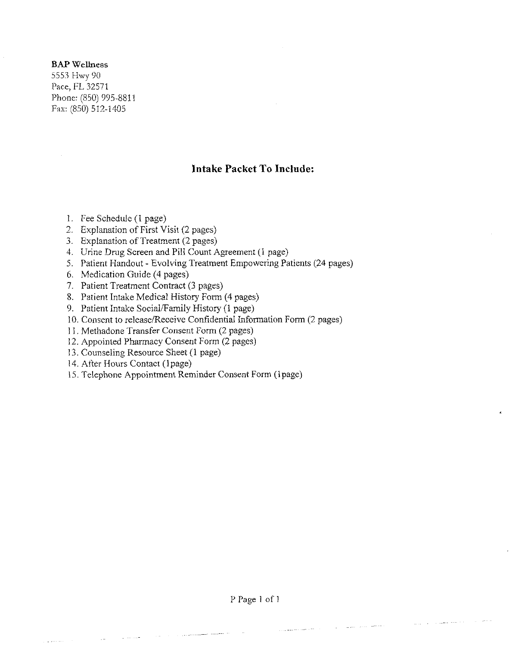#### BAP Wellness

5553 Hwy 90 Pace, FL 32571 Phone: (850) 995-8811 Fax: (850) 512-1405

## **Intake Packet To Include:**

- 1. Fee Schedule (1 page)
- 2. Explanation of First Visit (2 pages)
- 3. Explanation of Treatment (2 pages)
- 4. Urine Drug Screen and Pill Count Agreement (1 page)
- 5. Patient Handout Evolving Treatment Empowering Patients (24 pages)
- 6. Medication Guide (4 pages)
- 7. Patient Treatment Contract (3 pages)
- 8. Patient Intake Medical History Form (4 pages)
- 9. Patient Intake Social/Family History (1 page)
- 10. Consent to release/Receive Confidential Information Form (2 pages)
- 11. Methadone Transfer Consent Form (2 pages)
- 12. Appointed Pharmacy Consent Form (2 pages)
- 13. Counseling Resource Sheet (1 page)
- 14. After Hours Contact (lpage)
- 15. Telephone Appointment Reminder Consent Form (lpage)

ومار وسندر وسوويتها كارواج

محمد المفهور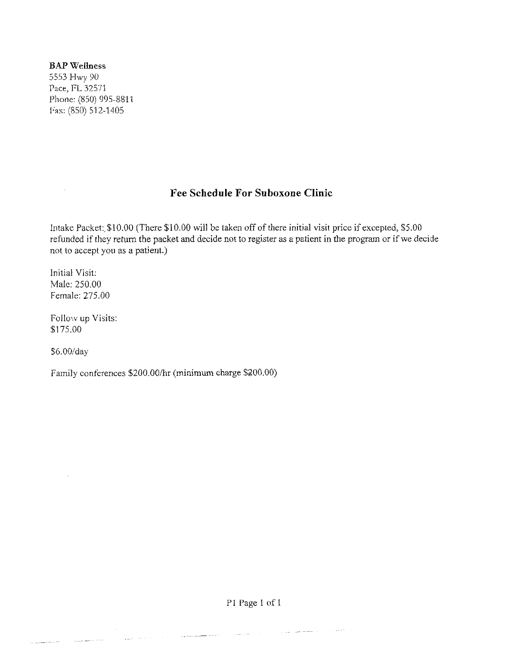BAP Wellness 5553 Hwy 90 Pace, FL 32571 Phone: (850) 995-8811 Fax: (850) 512-1405

## **Fee Schedule For Suboxone Clinic**

Intake Packet: \$10.00 (There \$10.00 will be taken off of there initial visit price if excepted, \$5.00 refunded if they return the packet and decide not to register as a patient in the program or if we decide not to accept you as a patient.)

Initial Visit: Male: 250.00 Female: 275.00

 $\mathcal{L}_{\mathbf{q}}$  .

Follow up Visits: \$175.00

\$6.00/day

Family conferences \$200.00/hr (minimum charge \$200.00)

 $\mathcal{L}_{\mathcal{L}}$  and an approximately the set of the  $\mathcal{L}_{\mathcal{L}}$  , and the set of the  $\mathcal{L}_{\mathcal{L}}$ 

 $\tau$  -gauss corrected

**Support Administration** 

 $\label{eq:1} \begin{split} \mathcal{L}_{\mathcal{F}}(\mathbf{r}) = & \mathcal{L}_{\mathcal{F}}(\mathbf{r}) = \mathcal{L}_{\mathcal{F}}(\mathbf{r}) \mathcal{L}_{\mathcal{F}}(\mathbf{r}) \mathcal{L}_{\mathcal{F}}(\mathbf{r}) \mathcal{L}_{\mathcal{F}}(\mathbf{r}) \mathcal{L}_{\mathcal{F}}(\mathbf{r}) \mathcal{L}_{\mathcal{F}}(\mathbf{r}) \mathcal{L}_{\mathcal{F}}(\mathbf{r}) \mathcal{L}_{\mathcal{F}}(\mathbf{r}) \mathcal{L}_{\mathcal{F}}(\mathbf{r}) \mathcal{L}_{\$ 

 $\mathcal{L}_{\text{max}}$  and  $\mathcal{L}_{\text{max}}$  and  $\mathcal{L}_{\text{max}}$  are the set of the  $\mathcal{L}_{\text{max}}$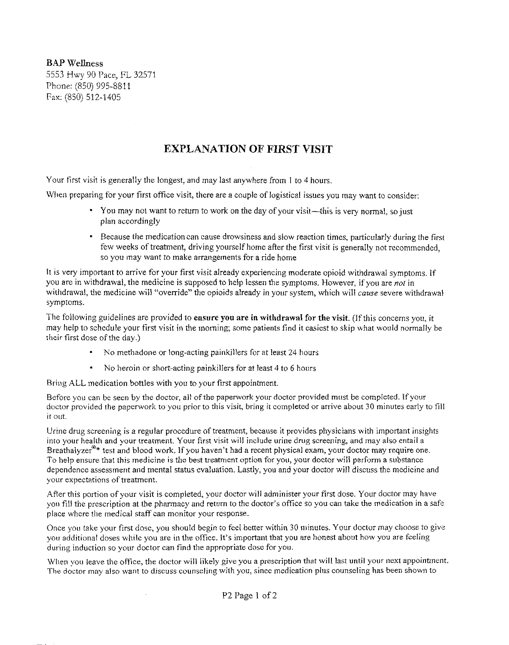## **B AP Wellness**

5553 Hwy 90 Pace, FL 32571 Phone: (850) 995-8811 Fax: (850) 512-1405

## **EXPLANATION OF FIRST VISIT**

Your first visit is generally the longest, and may last anywhere from 1 to 4 hours.

When preparing for your first office visit, there are a couple of logistical issues you may want to consider:

- You may not want to return to work on the day of your visit—this **is** very normal, so just plan accordingly
- Because the medication can cause drowsiness and slow reaction times, particularly during the first few weeks of treatment, driving yourself home after the first visit is generally not recommended, so you may want to make arrangements for a ride home

It is very important to arrive for your first visit already experiencing moderate opioid withdrawal symptoms. If you are in withdrawal, the medicine is supposed to help lessen the symptoms. However, if you are *not* in withdrawal, the medicine will "override" the opioids already in your system, which will *cause* severe withdrawal symptoms.

The following guidelines are provided to **ensure you are in withdrawal for the visit.** (If this concerns you, it may help to schedule your first visit in the morning; some patients find it easiest to skip what would normally be their first dose of the day.)

- No methadone or long-acting painkillers for at least 24 hours
- No heroin or short-acting painkillers for at least 4 to 6 hours

Bring ALL medication bottles with you to your first appointment.

Before you can be seen by the doctor, ail of the paperwork your doctor provided must be completed. If your doctor provided the paperwork to you prior to this visit, bring it completed or arrive about 30 minutes early to fill it out.

Urine drug screening is a regular procedure of treatment, because it provides physicians with important insights into your health and your treatment. Your first visit will include urine drug screening, and may also entail a Breathalyzer<sup>®\*</sup> test and blood work. If you haven't had a recent physical exam, your doctor may require one. To help ensure that this medicine is the best treatment option for you, your doctor will perform a substance dependence assessment and mental status evaluation. Lastly, you and your doctor will discuss the medicine and your expectations of treatment.

After this portion of your visit is completed, your doctor will administer your first dose. Your doctor may have you fill the prescription at the pharmacy and return to the doctor's office so you can take the medication in a safe place where the medical staff can monitor your response.

Once you take your first dose, you should begin to feel better within 30 minutes. Your doctor may choose to give you additional doses while you are in the office. It's important that you are honest about how you are feeling during induction so your doctor can find the appropriate dose for you.

When you leave the office, the doctor will likely give you a prescription that will last until your next appointment. The doctor may also want to discuss counseling with you, since medication plus counseling has been shown to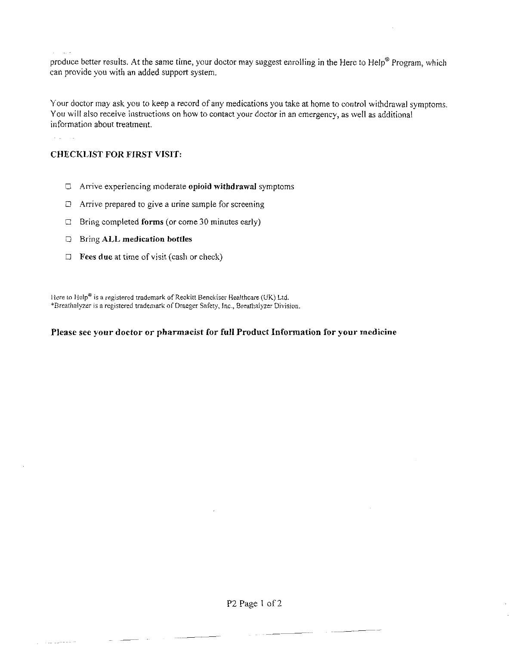produce better results. At the same time, your doctor may suggest enrolling in the Here to Help® Program, which can provide you with an added support system.

Your doctor may ask you to keep a record of any medications you take at home to control withdrawal symptoms. You will also receive instructions on how to contact your doctor in an emergency, as well as additional information about treatment.

## **CHECKLIST FOR FIRST VISIT:**

- Arrive experiencing moderate **opioid withdrawal** symptoms
- $\Box$  Arrive prepared to give a urine sample for screening
- Bring completed **forms** (or come 30 minutes early)
- Bring **AL L medication bottles**
- $\Box$  **Fees due** at time of visit (cash or check)

Mere *10* Help is a registered trademark of Reckitt Benckiser Healthcare (UK) Ltd. \*Breathalyzer is a registered trademark of Draeger Safety, Inc., Breathalyzer Division.

#### **Please see your doctor or pharmacist for full Product Information for your medicine**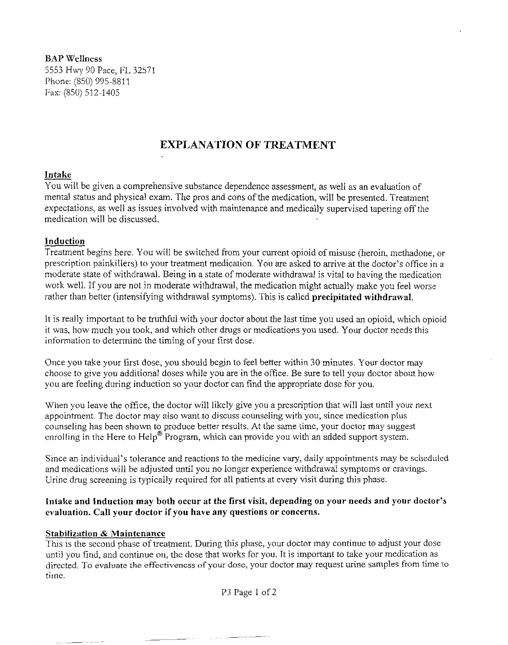**B AP Wellness**  5553 Hwy 90 Pace, FL 32571 Phone: (850) 995-8811 Fax: (850) 512-1405

## **EXPLANATION OF TREATMENT**

#### **Intake**

You will be given a comprehensive substance dependence assessment, as well as an evaluation of mental status and physical exam. The pros and cons of the medication, will be presented. Treatment expectations, as well as issues involved with maintenance and medically supervised tapering off the medication will be discussed.

#### **Induction**

Treatment begins here. You will be switched from your current opioid of misuse (heroin, methadone, or prescription painkillers) to your treatment medication. You are asked to arrive at the doctor's office in a moderate state of withdrawal. Being in a state of moderate withdrawal is vital to having the medication work well. If you are not in moderate withdrawal, the medication might actually make you feel worse rather than better (intensifying withdrawal symptoms). This is called **precipitated withdrawal.** 

H is really important to be truthful with your doctor about the last time you used an opioid, which opioid it was, how much you took, and which other drugs or medications you used. Your doctor needs this information to determine the timing of your first dose.

Once you take your first dose, you should begin to feel better within 30 minutes. Your doctor may choose to give you additional doses while you are in the office. Be sure to tell your doctor about how you are feeling during induction so your doctor can find the appropriate dose for you.

When you leave the office, the doctor will likely give you a prescription that will last until your next appointment. The doctor may also want to discuss counseling with you, since medication plus counseling has been shown to produce better results. At the same time, your doctor may suggest enrolling in the Here to Help<sup>®</sup> Program, which can provide you with an added support system.

Since an individual's tolerance and reactions to the medicine vary, daily appointments may be scheduled and medications will be adjusted until you no longer experience withdrawal symptoms or cravings. Urine drug screening is typically required for all patients at every visit during this phase.

## **Intake and Induction may both occur at the first visit, depending on your needs and your doctor's evaluation. Call your doctor if you have any questions or concerns.**

#### **Stabilization & Maintenance**

This is the second phase of treatment. During this phase, your doctor may continue to adjust your dose until you find, and continue on, the dose that works for you. It is important to take your medication as directed. To evaluate the effectiveness of your dose, your doctor may request urine samples from time to time.

P<sub>3</sub> Page 1 of 2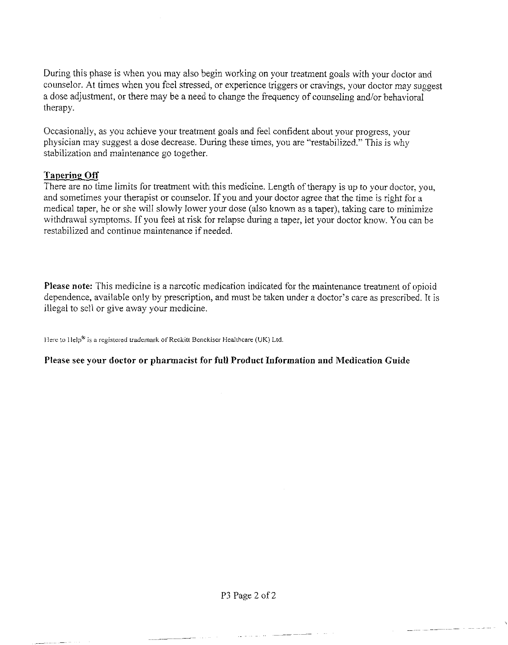During this phase is when you may also begin working on your treatment goals with your doctor and counselor. At times when you feel stressed, or experience triggers or cravings, your doctor may suggest a dose adjustment, or there may be a need to change the frequency of counseling and/or behavioral therapy.

Occasionally, as you achieve your treatment goals and feel confident about your progress, your physician may suggest a dose decrease. During these times, you are "restabilized." This is why stabilization and maintenance go together.

## **Tapering Off**

There are no time limits for treatment with this medicine. Length of therapy is up to your doctor, you, and sometimes your therapist or counselor. If you and your doctor agree that the time is right for a medical taper, he or she will slowly lower your dose (also known as a taper), taking care to minimize withdrawal symptoms. If you feel at risk for relapse during a taper, let your doctor know. You can be restabilized and continue maintenance if needed.

Please note: This medicine is a narcotic medication indicated for the maintenance treatment of opioid dependence, available only by prescription, and must be taken under a doctor's care as prescribed. It is illegal to sell or give away your medicine.

Here to Help<sup> $\circledast$ </sup> is a registered trademark of Reckitt Benckiser Healthcare (UK) Ltd.

**Please see your doctor or pharmacist for full Product Information and Medication Guide**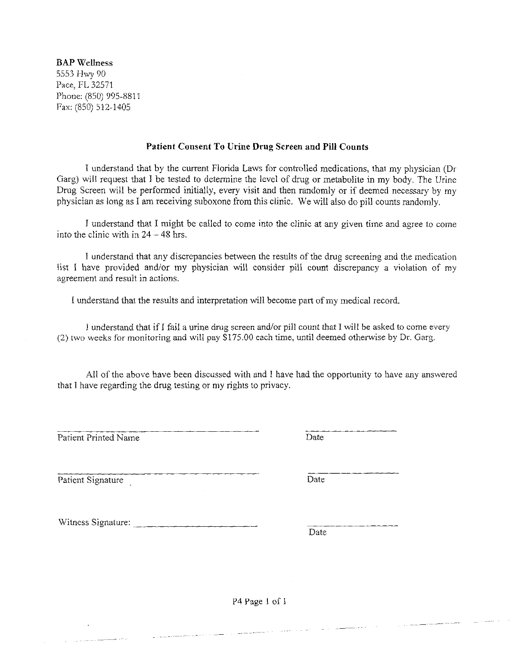**B AP Wellness**  5553 Hwy 90 Pace, FL 32571 Phone: (850) 995-8811 Fax: (850) 512-1405

#### **Patient Consent To Urine Drug Screen and Pill Counts**

I understand that by the current Florida Laws for controlled medications, that my physician (Dr Garg) will request that I be tested to determine the level of drug or metabolite in my body. The Urine Drug Screen will be performed initially, every visit and then randomly or if deemed necessary by my physician as long as I am receiving suboxone from this clinic. We will also do pill counts randomly.

I understand that I might be called to come into the clinic at any given time and agree to come into the clinic with in  $24 - 48$  hrs.

I understand that any discrepancies between the results of the drug screening and the medication list 1 have provided and/or my physician will consider pill count discrepancy a violation of my agreement and result in actions.

I understand that the results and interpretation will become part of my medical record.

I understand that if I fail a urine drug screen and/or pill count that I will be asked to come every (2) two weeks for monitoring and will pay \$175.00 each time, until deemed otherwise by Dr. Garg.

All of the above have been discussed with and I have had the opportunity to have any answered that I have regarding the drug testing or my rights to privacy.

Patient Printed Name Date of the Date of the Date of the Date of the Date of the Date of the Date of the Date of the Date of the Date of the Date of the Date of the Date of the Date of the Date of the Date of the Date of t

| ate |  |  |  |
|-----|--|--|--|
|     |  |  |  |

Patient Signature Date

Witness Signature:  $\frac{1}{2}$   $\frac{1}{2}$   $\frac{1}{2}$   $\frac{1}{2}$   $\frac{1}{2}$   $\frac{1}{2}$   $\frac{1}{2}$   $\frac{1}{2}$   $\frac{1}{2}$   $\frac{1}{2}$   $\frac{1}{2}$   $\frac{1}{2}$   $\frac{1}{2}$   $\frac{1}{2}$   $\frac{1}{2}$   $\frac{1}{2}$   $\frac{1}{2}$   $\frac{1}{2}$   $\frac{1}{2}$   $\frac{1}{2}$   $\$ 

Date

P4 Page 1 of 1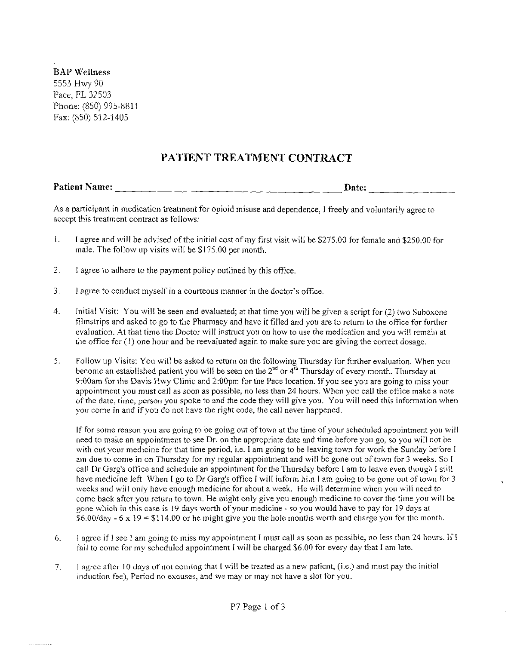**BAP** Wellness 5553 Hwy 90 Pace, FL 32503 Phone: (850) 995-8811 Fax: (850) 512-1405

## **PATIENT TREATMENT CONTRACT**

**Patient Name: \_\_\_\_ \_ Date:** 

As a participant in medication treatment for opioid misuse and dependence, I freely and voluntarily agree to accept this treatment contract as follows:

- 1. I agree and will be advised of the initial cost of my first visit will be \$275.00 for female and \$250.00 for male. The follow up visits will be \$175.00 per month.
- 2. I agree to adhere to the payment policy outlined by this office.
- 3. 1 agree to conduct myself in a courteous manner in the doctor's office.
- 4. Initial Visit: You will be seen and evaluated; at that time you will be given a script for (2) two Suboxone filmstrips and asked to go to the Pharmacy and have it filled and you are to return to the office for further evaluation. At that time the Doctor will instruct you on how to use the medication and you will remain at the office for (1) one hour and be reevaluated again to make sure you are giving the correct dosage.
- 5. Follow up Visits: You will be asked to return on the following Thursday for further evaluation. When you become an established patient you will be seen on the 2<sup>nd</sup> or 4<sup>th</sup> Thursday of every month. Thursday at 9:00am for the Davis Hwy Clinic and 2:00pm for the Pace location. If you see you are going to miss your appointment you must call as soon as possible, no less than 24 hours. When you call the office make a note of the date, time, person you spoke to and the code they will give you. You will need this information when you come in and if you do not have the right code, the call never happened.

If for some reason you are going to be going out of town at the time of your scheduled appointment you will need to make an appointment to see Dr. on the appropriate date and time before you go, so you will not be with out your medicine for that time period, i.e. I am going to be leaving town for work the Sunday before I am due to come in on Thursday for my regular appointment and will be gone out of town for 3 weeks. So I call Dr Garg's office and schedule an appointment for the Thursday before I am to leave even though I still have medicine left When I go to Dr Garg's office I will inform him I am going to be gone out of town for 3 weeks and will only have enough medicine for about a week. He will determine when you will need to come back after you return to town. He might only give you enough medicine to cover the time you will be gone which in this case is 19 days worth of your medicine - so you would have to pay for 19 days at  $$6.00/day - 6x19 = $114.00$  or he might give you the hole months worth and charge you for the month.

- 6. I agree if 1 see 1 am going to miss my appointment I must call as soon as possible, no less than 24 hours. If 1 fail to come for my scheduled appointment I will be charged \$6.00 for every day that 1 am late.
- 7. 1 agree after 10 days of not coming that I will be treated as a new patient, (i.e.) and must pay the initial induction fee), Period no excuses, and we may or may not have a slot for you.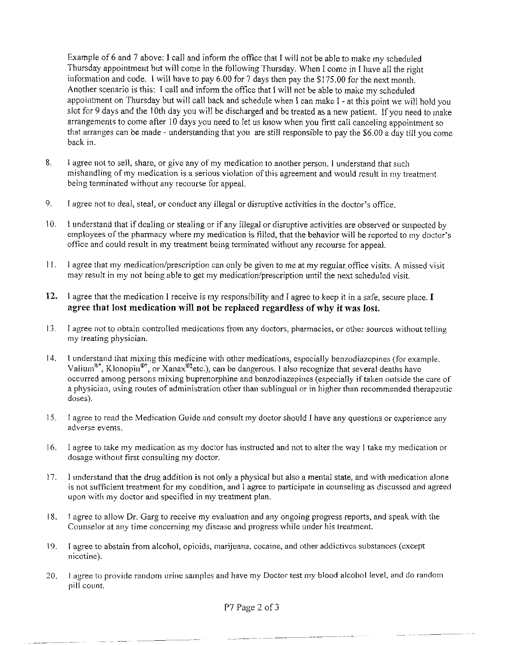Example of 6 and 7 above: I call and inform the office that I will not be able to make my scheduled Thursday appointment but will come in the following Thursday. When I come in I have all the right information and code. I will have to pay 6.00 for 7 days then pay the \$175.00 for the next month. Another scenario is this: I call and inform the office that I will not be able to make my scheduled appointment on Thursday but will call back and schedule when 1 can make 1 - at this point we will hold you slot for 9 days and the 10th day you will be discharged and be treated as a new patient. If you need to make arrangements to come after 10 days you need to let us know when you first call canceling appointment so that arranges can be made - understanding that you are still responsible to pay the \$6.00 a day till you come back in.

- 8. 1 agree not to sell, share, or give any of my medication to another person. 1 understand that such mishandling of my medication is a serious violation of this agreement and would result in my treatment being terminated without any recourse for appeal.
- 9. I agree not to deal, steal, or conduct any illegal or disruptive activities in the doctor's office.
- 10. 1 understand that if dealing or stealing or if any illegal or disruptive activities are observed or suspected by employees of the pharmacy where my medication is filled, that the behavior will be reported to my doctor's office and could result in my treatment being terminated without any recourse for appeal.
- 11. I agree that my medication/prescription can only be given to me at my regular.office visits. A missed visit may result in my not being able to get my medication/prescription until the next scheduled visit.
- **12.** 1 agree that the medication **I** receive is my responsibility and I agree to keep it in a safe, secure place. **I**  agree that lost medication will not be replaced regardless of why it was lost.
- 13. I agree not to obtain controlled medications from any doctors, pharmacies, or other sources without telling my treating physician.
- 14. 1 understand that mixing this medicine with other medications, especially benzodiazepines (for example, Valium<sup>®\*</sup>, Klonopin<sup>®†</sup>, or Xanax<sup>®‡</sup>etc.), can be dangerous. I also recognize that several deaths have occurred among persons mixing buprenorphine and benzodiazepines (especially if taken outside the care of a physician, using routes of administration other than sublingual or in higher than recommended therapeutic doses).
- 15. 1 agree to read the Medication Guide and consult my doctor should 1 have any questions or experience any adverse events.
- 16. I agree to take my medication as my doctor has instructed and not to alter the way 1 take my medication or dosage without first consulting my doctor.
- 17. 1 understand that the drug addition is not only a physical but also a mental state, and with medication alone is not sufficient treatment for my condition, and 1 agree to participate in counseling as discussed and agreed upon with my doctor and specified in my treatment plan.
- 1 8. i agree to allow Dr. Garg to receive my evaluation and any ongoing progress reports, and speak with the Counselor at any time concerning my disease and progress while under his treatment.
- 19. I agree to abstain from alcohol, opioids, marijuana, cocaine, and other addictives substances (except nicotine).
- 20. I agree to provide random urine samples and have my Doctor test my blood alcohol level, and do random pill count.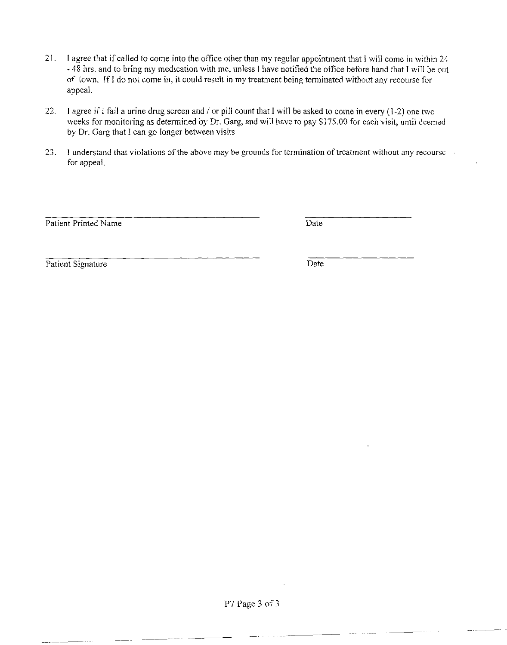- 21. I agree that if called to come into the office other than my regular appointment that I will come in within 24 - 48 hrs. and to bring my medication with me, unless 1 have notified the office before hand that I will be out of town. If I do not come in, it could result in my treatment being terminated without any recourse for appeal.
- 22. I agree if 1 fail a urine drug screen and / or pill count that I will be asked to come in every (1-2) one two weeks for monitoring as determined by Dr. Garg, and will have to pay \$175.00 for each visit, until deemed by Dr. Garg that I can go longer between visits.
- 23. 1 understand that violations of the above may be grounds for termination of treatment without any recourse for appeal.

Patient Printed Name Date

Patient Signature Date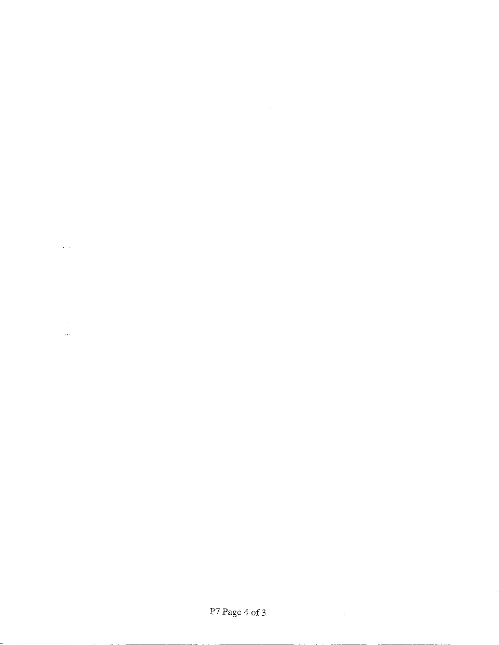$\bar{z}$ 

 $\sim$ 

 $\epsilon$  (  $\epsilon$ 

 $\sim$ 

 $\sim 10^{-1}$ 

 $\hat{\mathcal{A}}$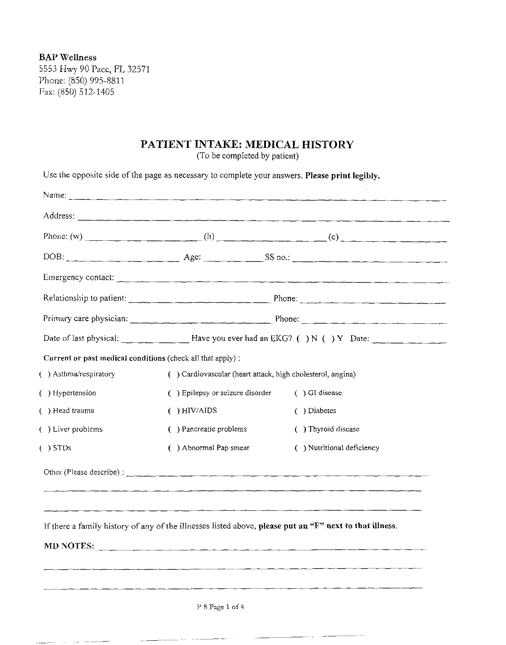**B AP Wellness**  5553 Hwy 90 Pace, FL 32571 Phone: (850) 995-8811 Fax: (850) 512-1405

## **PATIENT INTAKE: MEDICAL HISTORY**

(To be completed by patient)<br>sand to complete your answers

|                                                             |                                                            | $DOB:$ Age: $\qquad \qquad \text{S}S$ no.:                                                              |
|-------------------------------------------------------------|------------------------------------------------------------|---------------------------------------------------------------------------------------------------------|
|                                                             |                                                            |                                                                                                         |
|                                                             |                                                            | Relationship to patient:                                                                                |
|                                                             |                                                            |                                                                                                         |
|                                                             |                                                            |                                                                                                         |
| Current or past medical conditions (check all that apply) : |                                                            |                                                                                                         |
| () Asthma/respiratory                                       | () Cardiovascular (heart attack, high cholesterol, angina) |                                                                                                         |
| () Hypertension                                             | ( ) Epilepsy or seizure disorder                           | ( ) GI disease                                                                                          |
| () Head trauma                                              | $( )$ HIV/AIDS                                             | () Diabetes                                                                                             |
| () Liver problems                                           | () Pancreatic problems                                     | () Thyroid disease                                                                                      |
| $( )$ STDs                                                  | ( ) Abnormal Pap smear                                     | ( ) Nutritional deficiency                                                                              |
|                                                             |                                                            |                                                                                                         |
|                                                             |                                                            |                                                                                                         |
|                                                             |                                                            |                                                                                                         |
|                                                             |                                                            | If there a family history of any of the illnesses listed above, please put an "F" next to that illness. |
|                                                             |                                                            | MD NOTES:                                                                                               |

*V* 8 Page 1 of 4

 $\frac{1}{2}$ 

منازل والمست

 $\frac{1}{2}$ 

L.  $\overline{\phantom{a}}$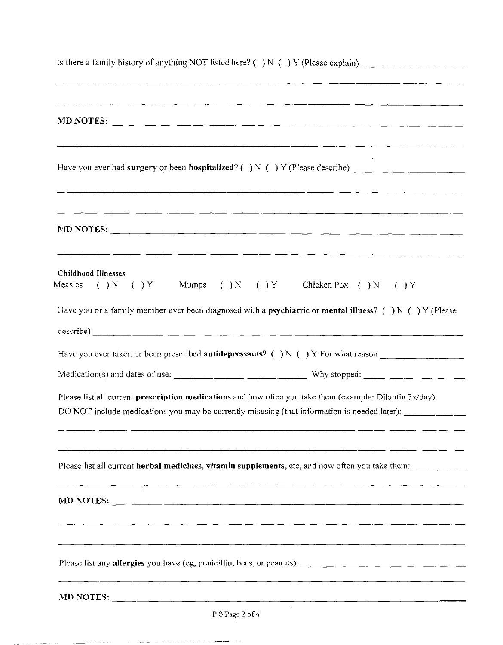| Is there a family history of anything NOT listed here? ( $\rightarrow$ N ( $\rightarrow$ Y (Please explain)                                                                                              |
|----------------------------------------------------------------------------------------------------------------------------------------------------------------------------------------------------------|
|                                                                                                                                                                                                          |
| Have you ever had surgery or been hospitalized? () N () Y (Please describe)                                                                                                                              |
|                                                                                                                                                                                                          |
| <b>Childhood Illnesses</b><br>Measles ( ) N ( ) Y Mumps ( ) N ( ) Y Chicken Pox ( ) N ( ) Y<br>Have you or a family member ever been diagnosed with a psychiatric or mental illness? () N () Y (Please   |
| Have you ever taken or been prescribed antidepressants? () N () Y For what reason __________________                                                                                                     |
| Please list all current prescription medications and how often you take them (example: Dilantin 3x/day).<br>DO NOT include medications you may be currently misusing (that information is needed later): |
| <u> 1980년 - 대한민국의 대한민국의 대한민국의 대한민국의 대한민국의 대한민국의 대한민국의 대한민국의 대한민국의 대한민국의 대한민국의 대한민국의 대한민국의 대한민</u><br>Please list all current herbal medicines, vitamin supplements, etc, and how often you take them:    |
| <u> 2000 - Angel Amerikaanse kommunister in de sterre van de sterre van de sterre van de verkende van de sterre v</u><br>MD NOTES:                                                                       |
|                                                                                                                                                                                                          |
| MD NOTES:                                                                                                                                                                                                |
| P 8 Page 2 of 4                                                                                                                                                                                          |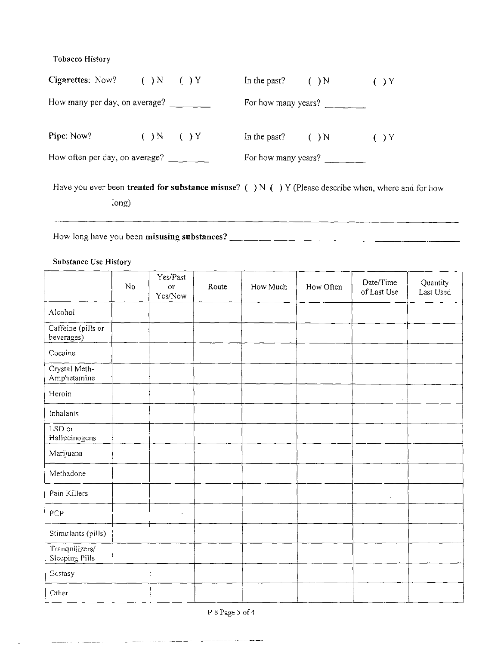Tobacco History

| Cigarettes: Now? $( ) N ( ) Y$                                                                                                                                                                                                                                                                                                                                                                        |           | In the past?                                                                                                                                                                                                                                                                                                                                                                                                      | $(\ )\mathrm{N}$ | ( ) Y |
|-------------------------------------------------------------------------------------------------------------------------------------------------------------------------------------------------------------------------------------------------------------------------------------------------------------------------------------------------------------------------------------------------------|-----------|-------------------------------------------------------------------------------------------------------------------------------------------------------------------------------------------------------------------------------------------------------------------------------------------------------------------------------------------------------------------------------------------------------------------|------------------|-------|
| How many per day, on average? $\qquad$                                                                                                                                                                                                                                                                                                                                                                |           | For how many years? $\frac{1}{\sqrt{1-\frac{1}{\sqrt{1-\frac{1}{\sqrt{1-\frac{1}{\sqrt{1-\frac{1}{\sqrt{1-\frac{1}{\sqrt{1-\frac{1}{\sqrt{1-\frac{1}{\sqrt{1-\frac{1}{\sqrt{1-\frac{1}{\sqrt{1-\frac{1}{\sqrt{1-\frac{1}{\sqrt{1-\frac{1}{\sqrt{1-\frac{1}{\sqrt{1-\frac{1}{\sqrt{1-\frac{1}{\sqrt{1-\frac{1}{\sqrt{1-\frac{1}{\sqrt{1-\frac{1}{\sqrt{1-\frac{1}{\sqrt{1-\frac{1}{\sqrt{1-\frac{1}{\sqrt{1-\frac$ |                  |       |
| Pipe: Now?                                                                                                                                                                                                                                                                                                                                                                                            | ( )N ( )Y | In the past?                                                                                                                                                                                                                                                                                                                                                                                                      | ( ) N            | ( ) Y |
| How often per day, on average? $\frac{1}{\sqrt{1-\frac{1}{\sqrt{1-\frac{1}{\sqrt{1-\frac{1}{\sqrt{1-\frac{1}{\sqrt{1-\frac{1}{\sqrt{1-\frac{1}{\sqrt{1-\frac{1}{\sqrt{1-\frac{1}{\sqrt{1-\frac{1}{\sqrt{1-\frac{1}{\sqrt{1-\frac{1}{\sqrt{1-\frac{1}{\sqrt{1-\frac{1}{\sqrt{1-\frac{1}{\sqrt{1-\frac{1}{\sqrt{1-\frac{1}{\sqrt{1-\frac{1}{\sqrt{1-\frac{1}{\sqrt{1-\frac{1}{\sqrt{1-\frac{1}{\sqrt{1$ |           | For how many years? $\frac{1}{\sqrt{2}}$                                                                                                                                                                                                                                                                                                                                                                          |                  |       |

Have you ever been **treated for substance misuse**? () N () Y (Please describe when, where and for how long)

<u> 1990 - Jan Barnett, martin e</u>

<u> 1968 - Andrea Andrew Maria (h. 1</u>

How long have you been **misusing substances?** 

**Substance Use History** 

|                                  | No | Yes/Past<br>or<br>Yes/Now | Route | How Much | How Often | Date/Time<br>of Last Use | Quantity<br>Last Used |
|----------------------------------|----|---------------------------|-------|----------|-----------|--------------------------|-----------------------|
| Alcohol                          |    |                           |       |          |           |                          |                       |
| Caffeine (pills or<br>beverages) |    |                           |       |          |           |                          |                       |
| Cocaine                          |    |                           |       |          |           |                          |                       |
| Crystal Meth-<br>Amphetamine     |    |                           |       |          |           |                          |                       |
| Heroin                           |    |                           |       |          |           |                          |                       |
| Inhalants                        |    |                           |       |          |           |                          |                       |
| LSD or<br>Hallucinogens          |    |                           |       |          |           |                          |                       |
| Marijuana                        |    |                           |       |          |           |                          |                       |
| Methadone                        |    |                           |       |          |           |                          |                       |
| Pain Killers                     |    |                           |       |          |           | $\ddot{\phantom{0}}$     |                       |
| PCP                              |    | ÷.                        |       |          |           |                          |                       |
| Stimulants (pills)               |    |                           |       |          |           |                          |                       |
| Tranquilizers/<br>Sleeping Pills |    |                           |       |          |           |                          |                       |
| Ecstasy                          |    |                           |       |          |           |                          |                       |
| Other                            |    |                           |       |          |           |                          |                       |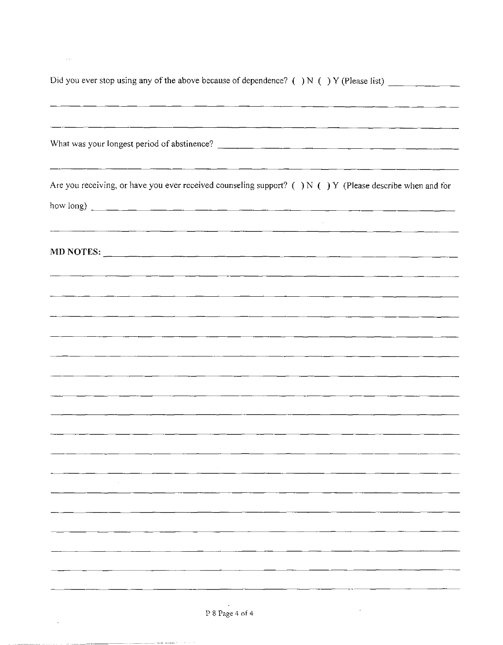| What was your longest period of abstinence?                                                              |  |  |  |  |
|----------------------------------------------------------------------------------------------------------|--|--|--|--|
| Are you receiving, or have you ever received counseling support? () N () Y (Please describe when and for |  |  |  |  |
|                                                                                                          |  |  |  |  |
| MD NOTES:                                                                                                |  |  |  |  |
|                                                                                                          |  |  |  |  |
|                                                                                                          |  |  |  |  |
|                                                                                                          |  |  |  |  |
|                                                                                                          |  |  |  |  |
|                                                                                                          |  |  |  |  |
|                                                                                                          |  |  |  |  |
|                                                                                                          |  |  |  |  |
|                                                                                                          |  |  |  |  |
|                                                                                                          |  |  |  |  |
|                                                                                                          |  |  |  |  |
|                                                                                                          |  |  |  |  |
| P 8 Page 4 of 4                                                                                          |  |  |  |  |

 $\mathcal{L}(\mathbf{z}|\mathbf{z})$ 

 $\mathcal{A}(\mathcal{A})$  and  $\mathcal{A}(\mathcal{A})$ 

.<br>2000 : Andrea Sterne American American American American (American American American American American America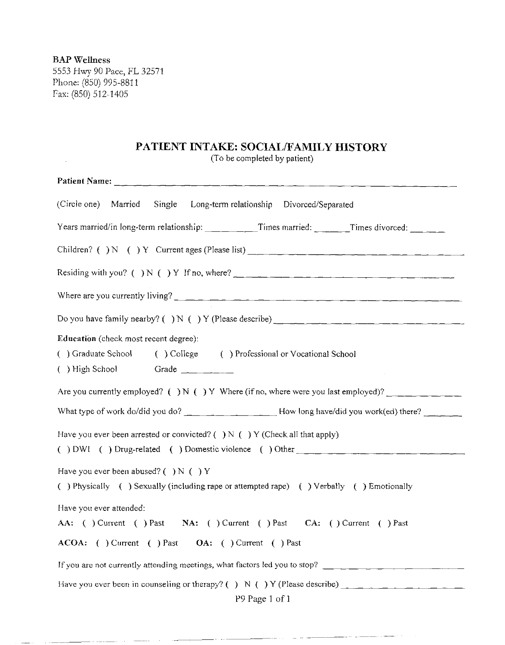**B AP Wellness**  5553 Hwy 90 Pace, FI\_ 32571 Phone: (850) 995-8811 Pax: (850) 512-1405

# **PATIENT INTAKE: SOCIAL/FAMILY HISTORY** (To be completed by patient)

| (Circle one) Married Single Long-term relationship Divorced/Separated                                          |
|----------------------------------------------------------------------------------------------------------------|
| Years married/in long-term relationship: __________Times married: _______Times divorced: _______               |
| Children? () N () Y Current ages (Please list) __________________________________                              |
| Residing with you? () N () Y If no, where?                                                                     |
| Where are you currently living?                                                                                |
|                                                                                                                |
| Education (check most recent degree):                                                                          |
| () Graduate School () College () Professional or Vocational School                                             |
| () High School Grade                                                                                           |
|                                                                                                                |
| What type of work do/did you do? ___________________________How long have/did you work(ed) there?              |
| Have you ever been arrested or convicted? () N () Y (Check all that apply)                                     |
| () DWI () Drug-related () Domestic violence () Other                                                           |
| Have you ever been abused? () N () Y                                                                           |
| () Physically () Sexually (including rape or attempted rape) () Verbally () Emotionally                        |
| Have you ever attended:                                                                                        |
| AA: ( ) Current ( ) Past NA: ( ) Current ( ) Past CA: ( ) Current ( ) Past                                     |
| ACOA: () Current () Past OA: () Current () Past                                                                |
| If you are not currently attending meetings, what factors led you to stop? ___________________________________ |
| Have you ever been in counseling or therapy? () N () Y (Please describe)                                       |

P9 Page 1 of 1

بالمدامين المنا

. . . . . . .

 $\mathcal{L}^{\mathcal{L}}$  , where  $\mathcal{L}^{\mathcal{L}}$  and  $\mathcal{L}^{\mathcal{L}}$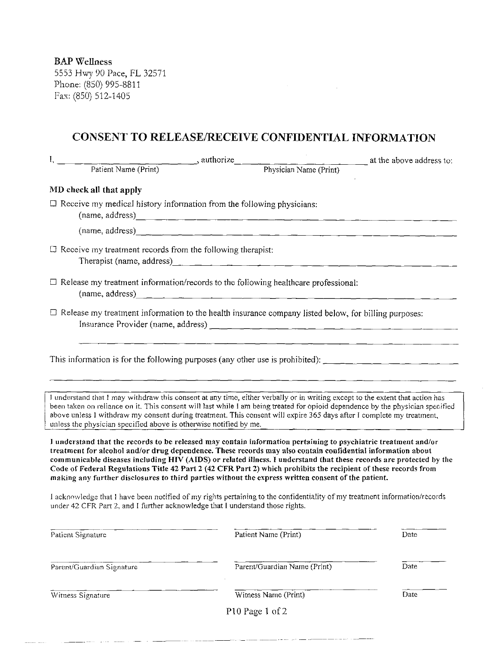**BAP Wellness**  5553 Hwy 90 Pace, PL 32571 Phone: (850) 995-8811 Pax: (850) 512-1405

## **CONSENT TO RELEASE/RECEIVE CONFIDENTIAL INFORMATION**

| _________, authorize                                                                                                                                                                                                                                                                                                                                                                                                                                                                                                                                                            |                              | at the above address to: |
|---------------------------------------------------------------------------------------------------------------------------------------------------------------------------------------------------------------------------------------------------------------------------------------------------------------------------------------------------------------------------------------------------------------------------------------------------------------------------------------------------------------------------------------------------------------------------------|------------------------------|--------------------------|
| Patient Name (Print)                                                                                                                                                                                                                                                                                                                                                                                                                                                                                                                                                            | Physician Name (Print)       |                          |
| MD check all that apply                                                                                                                                                                                                                                                                                                                                                                                                                                                                                                                                                         |                              |                          |
| $\Box$ Receive my medical history information from the following physicians:<br>(name, address)                                                                                                                                                                                                                                                                                                                                                                                                                                                                                 |                              |                          |
| (name, address)                                                                                                                                                                                                                                                                                                                                                                                                                                                                                                                                                                 |                              |                          |
| $\Box$ Receive my treatment records from the following therapist:                                                                                                                                                                                                                                                                                                                                                                                                                                                                                                               |                              |                          |
| $\Box$ Release my treatment information/records to the following healthcare professional:                                                                                                                                                                                                                                                                                                                                                                                                                                                                                       |                              |                          |
| $\Box$ Release my treatment information to the health insurance company listed below, for billing purposes:                                                                                                                                                                                                                                                                                                                                                                                                                                                                     |                              |                          |
| This information is for the following purposes (any other use is prohibited): ________________________________                                                                                                                                                                                                                                                                                                                                                                                                                                                                  |                              |                          |
| I understand that I may withdraw this consent at any time, either verbally or in writing except to the extent that action has<br>been taken on reliance on it. This consent will last while I am being treated for opioid dependence by the physician specified<br>above unless I withdraw my consent during treatment. This consent will expire 365 days after I complete my treatment,<br>unless the physician specified above is otherwise notified by me.                                                                                                                   |                              |                          |
| I understand that the records to be released may contain information pertaining to psychiatric treatment and/or<br>treatment for alcohol and/or drug dependence. These records may also contain confidential information about<br>communicable diseases including HIV (AIDS) or related illness. I understand that these records are protected by the<br>Code of Federal Regulations Title 42 Part 2 (42 CFR Part 2) which prohibits the recipient of these records from<br>making any further disclosures to third parties without the express written consent of the patient. |                              |                          |
| I acknowledge that I have been notified of my rights pertaining to the confidentiality of my treatment information/records<br>under 42 CFR Part 2, and I further acknowledge that I understand those rights.                                                                                                                                                                                                                                                                                                                                                                    |                              |                          |
| Patient Signature                                                                                                                                                                                                                                                                                                                                                                                                                                                                                                                                                               | Patient Name (Print)         | Date                     |
| Parent/Guardian Signature                                                                                                                                                                                                                                                                                                                                                                                                                                                                                                                                                       | Parent/Guardian Name (Print) | Date                     |

Witness Signature Witness Name (Print)

Date

PlOPage 1 of 2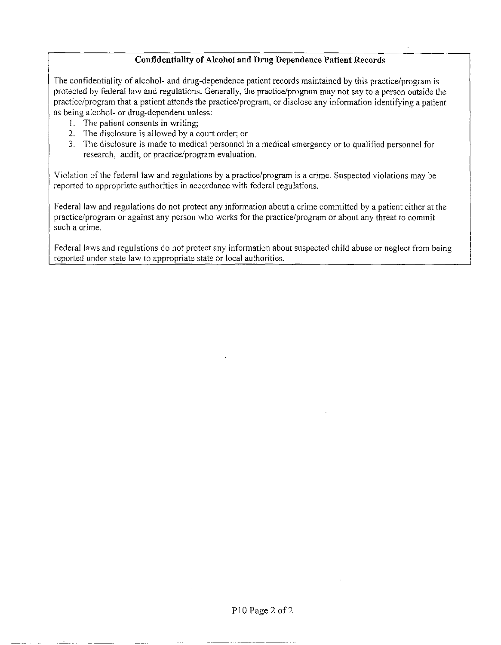#### **Confidentiality of Alcohol and Drug Dependence Patient Records**

The confidentiality of alcohol- and drug-dependence patient records maintained by this practice/program is protected by federal law and regulations. Generally, the practice/program may not say to a person outside the practice/program that a patient attends the practice/program, or disclose any information identifying a patient as being alcohol- or drug-dependent unless:

- 1. The patient consents in writing;
- 2. The disclosure is allowed by a court order; or
- 3. The disclosure is made to medical personnel in a medical emergency or to qualified personnel for research, audit, or practice/program evaluation.

Violation of the federal law and regulations by a practice/program is a crime. Suspected violations may be reported to appropriate authorities in accordance with federal regulations.

Federal law and regulations do not protect any information about a crime committed by a patient either at the practice/program or against any person who works for the practice/program or about any threat to commit such a crime.

Federal laws and regulations do not protect any information about suspected child abuse or neglect from being reported under state law to appropriate state or local authorities.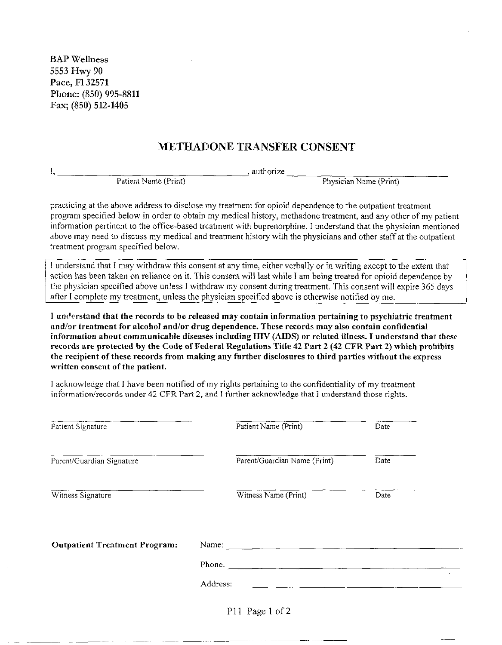**BAP Wellness 5553 Hwy 90 Pace, F l 32571 Phone: (850) 995-8811 Fax; (850) 512-1405** 

## **METHADONE TRANSFER CONSENT**

<sup>i</sup> , , authorize

Physician Name (Print)

practicing at the above address to disclose my treatment for opioid dependence to the outpatient treatment program specified below in order to obtain my medical history, methadone treatment, and any other of my patient information pertinent to the office-based treatment with buprenorphine. I understand that the physician mentioned above may need to discuss my medical and treatment history with the physicians and other staff at the outpatient treatment program specified below.

1 understand that I may withdraw this consent at any time, either verbally or in writing except to the extent that action has been taken on reliance on it. This consent will last while I am being treated for opioid dependence by the physician specified above unless I withdraw my consent during treatment. This consent will expire 365 days after 1 complete my treatment, unless the physician specified above is otherwise notified by me.

**I understand that the records to be released may contain information pertaining to psychiatric treatment and/or treatment for alcohol and/or drug dependence. These records may also contain confidential information about communicable diseases including HIV (AIDS) or related illness. I understand that these records are protected by the Code of Federal Regulations Title 42 Part 2 (42 CF R Part 2) which prohibits the recipient of these records from making any further disclosures to third parties without the express written consent of the patient.** 

I acknowledge that I have been notified of my rights pertaining to the confidentiality of my treatment information/records under 42 CFR Part **2,** and I further acknowledge that J understand those rights.

| Patient Signature                    | Patient Name (Print)                                                                                                                                                                                                                                                                                                  | Date |  |
|--------------------------------------|-----------------------------------------------------------------------------------------------------------------------------------------------------------------------------------------------------------------------------------------------------------------------------------------------------------------------|------|--|
| Parent/Guardian Signature            | Parent/Guardian Name (Print)                                                                                                                                                                                                                                                                                          | Date |  |
| Witness Signature                    | Witness Name (Print)                                                                                                                                                                                                                                                                                                  | Date |  |
| <b>Outpatient Treatment Program:</b> | Name: $\frac{1}{2}$ $\frac{1}{2}$ $\frac{1}{2}$ $\frac{1}{2}$ $\frac{1}{2}$ $\frac{1}{2}$ $\frac{1}{2}$ $\frac{1}{2}$ $\frac{1}{2}$ $\frac{1}{2}$ $\frac{1}{2}$ $\frac{1}{2}$ $\frac{1}{2}$ $\frac{1}{2}$ $\frac{1}{2}$ $\frac{1}{2}$ $\frac{1}{2}$ $\frac{1}{2}$ $\frac{1}{2}$ $\frac{1}{2}$ $\frac{1}{2}$ $\frac{1$ |      |  |
|                                      | Phone:<br><u> 1980 - 1980 - 1980 - 1980 - 1980 - 1980 - 1980 - 1980 - 1980 - 1980 - 1980 - 1980 - 1980 - 1980 - 1980 - 198</u><br>Address:                                                                                                                                                                            |      |  |

P<sub>11</sub> Page 1 of 2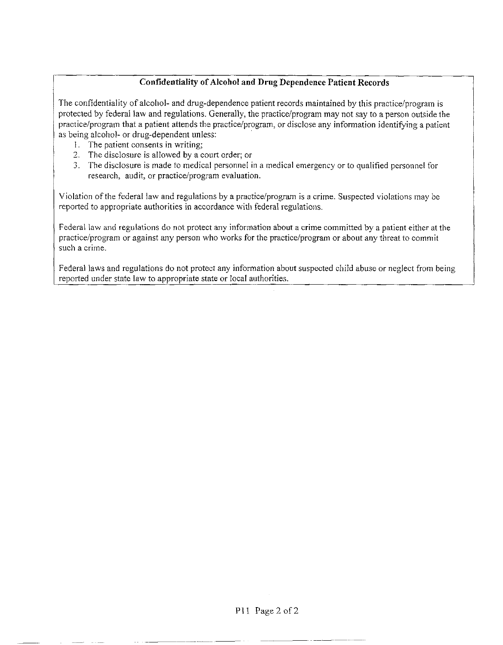## **Confidentiality of Alcohol and Drug Dependence Patient Records**

The confidentiality of alcohol- and drug-dependence patient records maintained by this practice/program is protected by federal law and regulations. Generally, the practice/program may not say to a person outside the practice/program that a patient attends the practice/program, or disclose any information identifying a patient as being alcohol- or drug-dependent unless:

- 1. The patient consents in writing;
- 2. The disclosure is allowed by a court order; or
- 3. The disclosure is made to medical personnel in a medical emergency or to qualified personnel for research, audit, or practice/program evaluation.

Violation of the federal law and regulations by a practice/program is a crime. Suspected violations may be reported to appropriate authorities in accordance with federal regulations.

Federal law and regulations do not protect any information about a crime committed by a patient either at the practice/program or against any person who works for the practice/program or about any threat to commit such a crime.

Federal laws and regulations do not protect any information about suspected child abuse or neglect from being reported under state law to appropriate state or local authorities.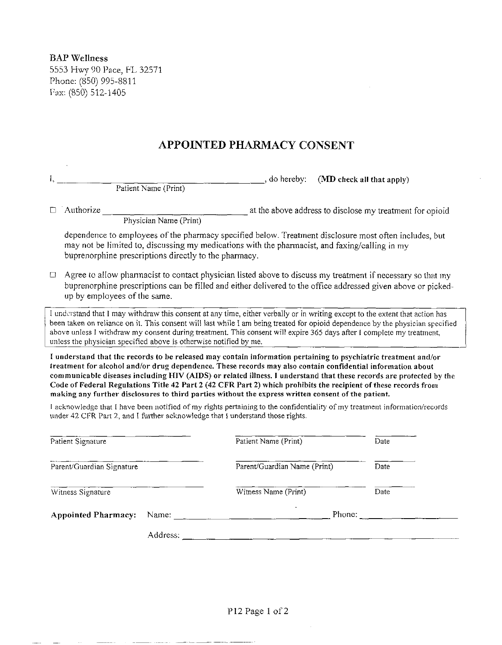**B AP Wellness**  5553 Hwy 90 Pace, PL 32571 Phone: (850) 995-8811 1-ax: (850) 512-1405

## **APPOINTED PHARMACY CONSENT**

|        |                              | Patient Name (Print)                                                                                                                                                                                                                                                                                                                                                                                                                                     | , do hereby:                                                                                                                                                                                                                                                                                                          | (MD check all that apply) |                                                                                                                                |
|--------|------------------------------|----------------------------------------------------------------------------------------------------------------------------------------------------------------------------------------------------------------------------------------------------------------------------------------------------------------------------------------------------------------------------------------------------------------------------------------------------------|-----------------------------------------------------------------------------------------------------------------------------------------------------------------------------------------------------------------------------------------------------------------------------------------------------------------------|---------------------------|--------------------------------------------------------------------------------------------------------------------------------|
|        |                              | Authorize Physician Name (Print)                                                                                                                                                                                                                                                                                                                                                                                                                         |                                                                                                                                                                                                                                                                                                                       |                           | at the above address to disclose my treatment for opioid                                                                       |
|        |                              | dependence to employees of the pharmacy specified below. Treatment disclosure most often includes, but<br>may not be limited to, discussing my medications with the pharmacist, and faxing/calling in my<br>buprenorphine prescriptions directly to the pharmacy.                                                                                                                                                                                        |                                                                                                                                                                                                                                                                                                                       |                           |                                                                                                                                |
| $\Box$ | up by employees of the same. | Agree to allow pharmacist to contact physician listed above to discuss my treatment if necessary so that my<br>buprenorphine prescriptions can be filled and either delivered to the office addressed given above or picked-                                                                                                                                                                                                                             |                                                                                                                                                                                                                                                                                                                       |                           |                                                                                                                                |
|        |                              | I understand that I may withdraw this consent at any time, either verbally or in writing except to the extent that action has<br>above unless I withdraw my consent during treatment. This consent will expire 365 days after I complete my treatment,<br>unless the physician specified above is otherwise notified by me.                                                                                                                              |                                                                                                                                                                                                                                                                                                                       |                           | been taken on reliance on it. This consent will last while I am being treated for opioid dependence by the physician specified |
|        |                              | I understand that the records to be released may contain information pertaining to psychiatric treatment and/or<br>treatment for alcohol and/or drug dependence. These records may also contain confidential information about<br>Code of Federal Regulations Title 42 Part 2 (42 CFR Part 2) which prohibits the recipient of these records from<br>making any further disclosures to third parties without the express written consent of the patient. |                                                                                                                                                                                                                                                                                                                       |                           | communicable diseases including HIV (AIDS) or related illness. I understand that these records are protected by the            |
|        |                              | I acknowledge that I have been notified of my rights pertaining to the confidentiality of my treatment information/records<br>under 42 CFR Part 2, and I further acknowledge that I understand those rights.                                                                                                                                                                                                                                             |                                                                                                                                                                                                                                                                                                                       |                           |                                                                                                                                |
|        | Patient Signature            |                                                                                                                                                                                                                                                                                                                                                                                                                                                          | Patient Name (Print)                                                                                                                                                                                                                                                                                                  |                           | Date                                                                                                                           |
|        | Parent/Guardian Signature    |                                                                                                                                                                                                                                                                                                                                                                                                                                                          | Parent/Guardian Name (Print)                                                                                                                                                                                                                                                                                          |                           | Date                                                                                                                           |
|        | Witness Signature            |                                                                                                                                                                                                                                                                                                                                                                                                                                                          | Witness Name (Print)                                                                                                                                                                                                                                                                                                  |                           | Date                                                                                                                           |
|        | <b>Appointed Pharmacy:</b>   |                                                                                                                                                                                                                                                                                                                                                                                                                                                          | Name: $\frac{1}{2}$ $\frac{1}{2}$ $\frac{1}{2}$ $\frac{1}{2}$ $\frac{1}{2}$ $\frac{1}{2}$ $\frac{1}{2}$ $\frac{1}{2}$ $\frac{1}{2}$ $\frac{1}{2}$ $\frac{1}{2}$ $\frac{1}{2}$ $\frac{1}{2}$ $\frac{1}{2}$ $\frac{1}{2}$ $\frac{1}{2}$ $\frac{1}{2}$ $\frac{1}{2}$ $\frac{1}{2}$ $\frac{1}{2}$ $\frac{1}{2}$ $\frac{1$ |                           | Phone: $\qquad \qquad$                                                                                                         |
|        |                              |                                                                                                                                                                                                                                                                                                                                                                                                                                                          |                                                                                                                                                                                                                                                                                                                       |                           |                                                                                                                                |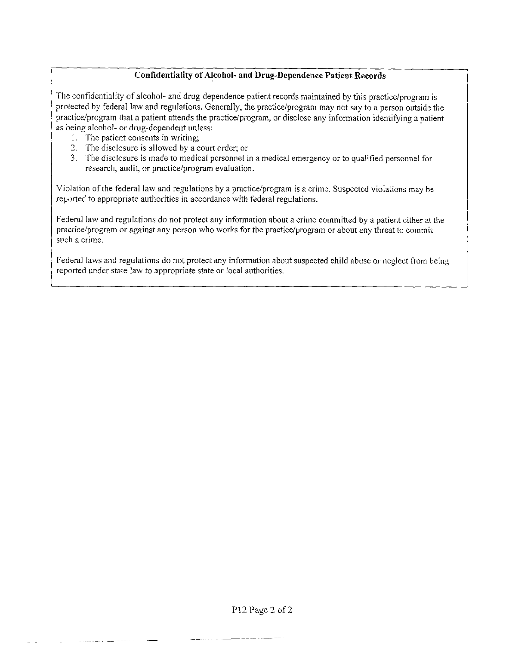## **Confidentiality of Alcohol- and Drug-Dependence Patient Records**

The confidentiality of alcohol- and drug-dependence patient records maintained by this practice/program is protected by federal law and regulations. Generally, the practice/program may not say to a person outside the practice/program that a patient attends the practice/program, or disclose any information identifying a patient as being alcohol- or drug-dependent unless:

- 1. The patient consents in writing;
- 2. The disclosure is allowed by a court order; or
- 3. The disclosure is made to medical personnel in a medical emergency or to qualified personnel for research, audit, or practice/program evaluation.

Violation of the federal law and regulations by a practice/program is a crime. Suspected violations may be reported to appropriate authorities in accordance with federal regulations.

Federal law and regulations do not protect any information about a crime committed by a patient either at the practice/program or against any person who works for the practice/program or about any threat to commit such a crime.

Federal laws and regulations do not protect any information about suspected child abuse or neglect from being reported under state law to appropriate state or local authorities.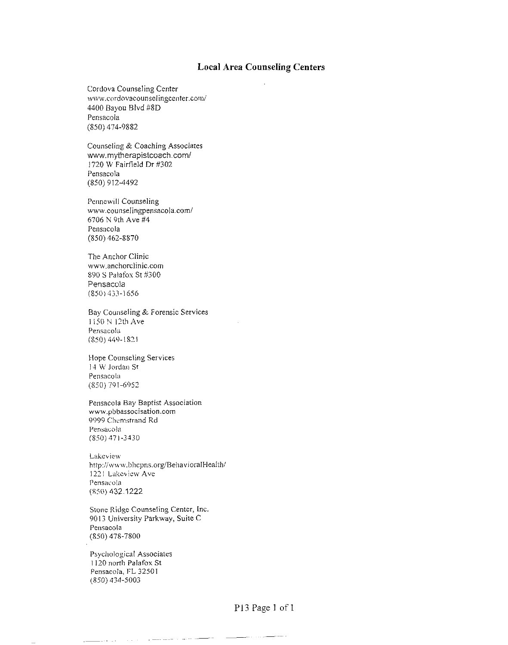#### **Local Area Counseling Centers**

Cordova Counseling Center www.cordovacounselingcenter.com/ 4400 Bayou Blvd #8D Pensacoia (850)474-9882

Counseling & Coaching Associates www.mytherapistcoach.com/ 1720 W Fairfield Dr#302 Pensacoia (850) 912^492

Pennewill Counseling www.counseIingpensacola.com/ 6706 N 9th Ave #4 Pensacoia (850)462-8870

The Anchor Clinic www.anchorclinic.com 890SPalafox St #300 Pensacoia (850)433-1656

Bay Counseling & Forensic Services i 150 N 12th Ave Pensacoia (850)449-1821

Hope Counseling Services 14 W Jordan St Pensacoia (850)791-6952

Pensacoia Bay Baptist Association www.pbbassocisation.com 9999 Chemstrand Rd Pensacoia (850) 471-3430

Lakevlew http://www.bhcpns.org/BehavioralHealth/ 122 i Lakcview Ave Pensacoia (850) 432.1222

Stone Ridge Counseling Center, Inc. 9013 University Parkway, Suite C Pensacoia (850)478-7800

مشارعه وعداره المتعلق عطا

22

Psychological Associates l 120 north Palafox St Pensacoia, FL 32501 (850)434-5003

**Service** 

and and the

## PI3 Page I of 1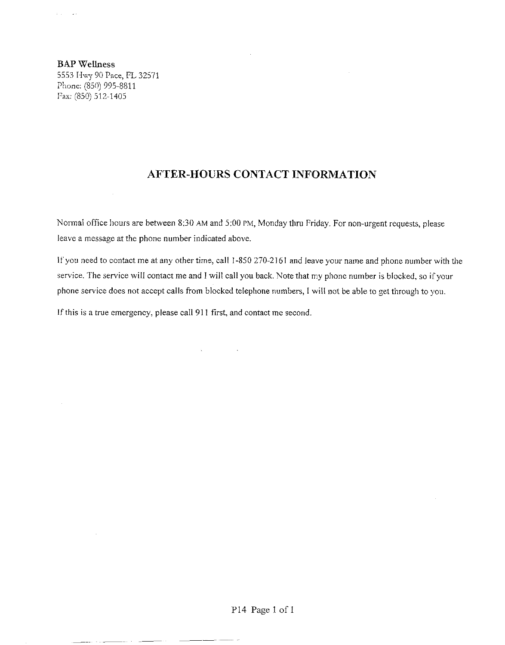**BAP Wellness**  5553 Hwy 90 Pace, FL 32571 Phone: (850) 995-8811 Fax:(850) 512-1405

 $\alpha$  ,  $\beta$  ,  $\beta$  ,  $\alpha$  ,  $\alpha$ 

## **AFTER-HOURS CONTACT INFORMATION**

Normal office hours are between 8:30 AM and 5:00 PM, Monday thru Friday. For non-urgent requests, please leave a message at the phone number indicated above.

If you need to contact me at any other time, call 1-850 270-2161 and leave your name and phone number with the service. The service will contact me and I wilt call you back. Note that my phone number is blocked, so if your phone service does not accept calls from blocked telephone numbers, I will not be able to get through to you.

If this is a true emergency, please call 911 first, and contact me second.

P14 Page 1 of 1